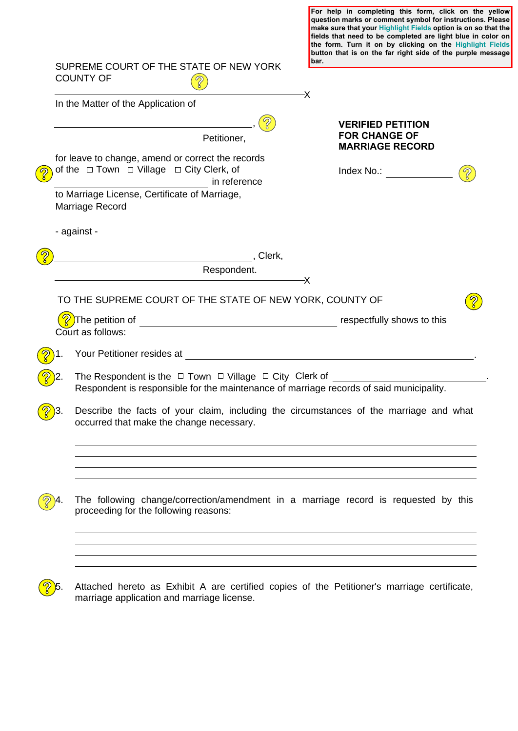|                  |                                                                                                                                                                  | question marks or comment symbol for instructions. Please<br>make sure that your Highlight Fields option is on so that the<br>fields that need to be completed are light blue in color on<br>the form. Turn it on by clicking on the Highlight Fields<br>button that is on the far right side of the purple message |
|------------------|------------------------------------------------------------------------------------------------------------------------------------------------------------------|---------------------------------------------------------------------------------------------------------------------------------------------------------------------------------------------------------------------------------------------------------------------------------------------------------------------|
|                  | SUPREME COURT OF THE STATE OF NEW YORK<br><b>COUNTY OF</b>                                                                                                       | bar.                                                                                                                                                                                                                                                                                                                |
|                  | In the Matter of the Application of                                                                                                                              | -X                                                                                                                                                                                                                                                                                                                  |
|                  | Petitioner,                                                                                                                                                      | <b>VERIFIED PETITION</b><br><b>FOR CHANGE OF</b><br><b>MARRIAGE RECORD</b>                                                                                                                                                                                                                                          |
|                  | for leave to change, amend or correct the records<br>of the $\Box$ Town $\Box$ Village $\Box$ City Clerk, of<br>in reference                                     | Index No.:                                                                                                                                                                                                                                                                                                          |
|                  | to Marriage License, Certificate of Marriage,<br>Marriage Record                                                                                                 |                                                                                                                                                                                                                                                                                                                     |
|                  | - against -                                                                                                                                                      |                                                                                                                                                                                                                                                                                                                     |
|                  |                                                                                                                                                                  |                                                                                                                                                                                                                                                                                                                     |
|                  | Respondent.                                                                                                                                                      | -X                                                                                                                                                                                                                                                                                                                  |
|                  | TO THE SUPREME COURT OF THE STATE OF NEW YORK, COUNTY OF                                                                                                         |                                                                                                                                                                                                                                                                                                                     |
|                  | Court as follows:                                                                                                                                                |                                                                                                                                                                                                                                                                                                                     |
|                  |                                                                                                                                                                  |                                                                                                                                                                                                                                                                                                                     |
|                  | The Respondent is the $\Box$ Town $\Box$ Village $\Box$ City Clerk of<br>Respondent is responsible for the maintenance of marriage records of said municipality. |                                                                                                                                                                                                                                                                                                                     |
| $\frac{1}{8}$ 3. | Describe the facts of your claim, including the circumstances of the marriage and what<br>occurred that make the change necessary.                               |                                                                                                                                                                                                                                                                                                                     |
|                  |                                                                                                                                                                  |                                                                                                                                                                                                                                                                                                                     |
|                  | The following change/correction/amendment in a marriage record is requested by this<br>proceeding for the following reasons:                                     |                                                                                                                                                                                                                                                                                                                     |
|                  |                                                                                                                                                                  |                                                                                                                                                                                                                                                                                                                     |

**For help in completing this form, click on the yellow** 



 $\boxed{?}$ 5. Attached hereto as Exhibit A are certified copies of the Petitioner's marriage certificate, marriage application and marriage license.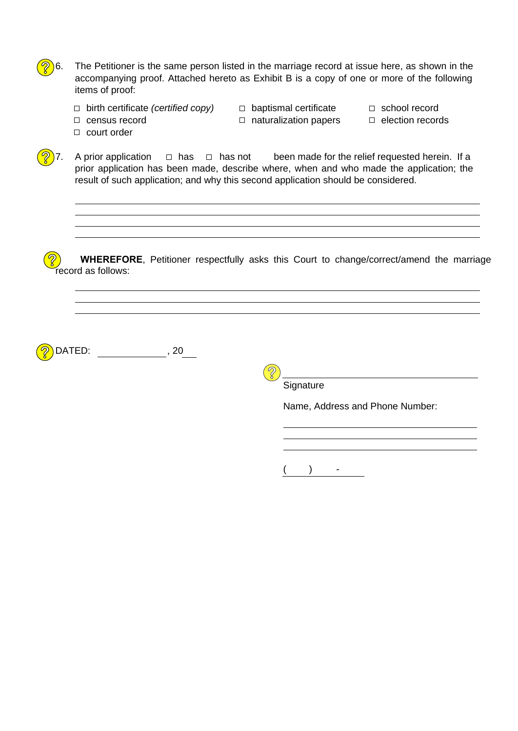$6.$  The Petitioner is the same person listed in the marriage record at issue here, as shown in the accompanying proof. Attached hereto as Exhibit B is a copy of one or more of the following items of proof:

- $\Box$  birth certificate *(certified copy)*  $\Box$  baptismal certificate  $\Box$  school record
	-
- $\Box$  census record  $\Box$  naturalization papers  $\Box$  election records

court order

record as follows:

7. A prior application  $\Box$  has  $\Box$  has not been made for the relief requested herein. If a prior application has been made, describe where, when and who made the application; the result of such application; and why this second application should be considered.  $\Box$  has  $\Box$  has not

**<sup>2</sup>) WHEREFORE**, Petitioner respectfully asks this Court to change/correct/amend the marriage

DATED: , 20

 $\widehat{\mathcal{S}}$ 

**Signature** 

 $($  ) -

Name, Address and Phone Number: